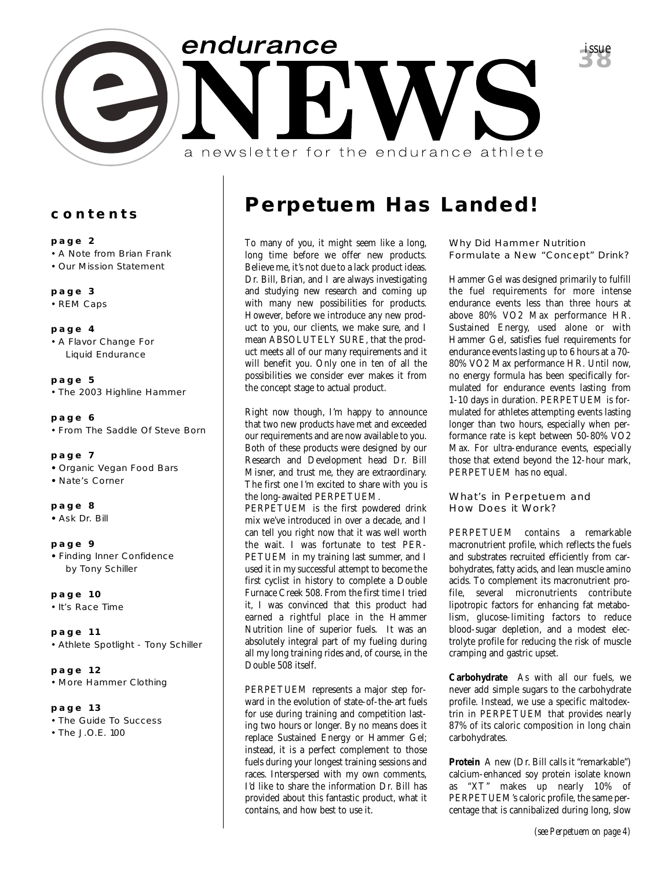

#### **contents**

#### **page 2**

- A Note from Brian Frank
- Our Mission Statement

#### **page 3**

• REM Caps

#### **page 4**

• A Flavor Change For Liquid Endurance

### **page 5**

• The 2003 Highline Hammer

#### **page 6**

• From The Saddle Of Steve Born

#### **page 7**

- Organic Vegan Food Bars
- Nate's Corner

#### **page 8**

**•** Ask Dr. Bill

#### **page 9**

**•** Finding Inner Confidence by Tony Schiller

#### **page 10**

• It's Race Time

#### **page 11**

• Athlete Spotlight - Tony Schiller

#### **page 12** • More Hammer Clothing

#### **page 13**

• The Guide To Success

• The J.O.E. 100

## **Perpetuem Has Landed!**

To many of you, it might seem like a long, long time before we offer new products. Believe me, it's not due to a lack product ideas. Dr. Bill, Brian, and I are always investigating and studying new research and coming up with many new possibilities for products. However, before we introduce any new product to you, our clients, we make sure, and I mean ABSOLUTELY SURE, that the product meets all of our many requirements and it will benefit you. Only one in ten of all the possibilities we consider ever makes it from the concept stage to actual product.

Right now though, I'm happy to announce that two new products have met and exceeded our requirements and are now available to you. Both of these products were designed by our Research and Development head Dr. Bill Misner, and trust me, they are extraordinary. The first one I'm excited to share with you is the long-awaited PERPETUEM.

PERPETUEM is the first powdered drink mix we've introduced in over a decade, and I can tell you right now that it was well worth the wait. I was fortunate to test PER-PETUEM in my training last summer, and I used it in my successful attempt to become the first cyclist in history to complete a Double Furnace Creek 508. From the first time I tried it, I was convinced that this product had earned a rightful place in the Hammer Nutrition line of superior fuels. It was an absolutely integral part of my fueling during all my long training rides and, of course, in the Double 508 itself.

PERPETUEM represents a major step forward in the evolution of state-of-the-art fuels for use during training and competition lasting two hours or longer. By no means does it replace Sustained Energy or Hammer Gel; instead, it is a perfect complement to those fuels during your longest training sessions and races. Interspersed with my own comments, I'd like to share the information Dr. Bill has provided about this fantastic product, what it contains, and how best to use it.

Why Did Hammer Nutrition Formulate a New "Concept" Drink?

**38***issue*

Hammer Gel was designed primarily to fulfill the fuel requirements for more intense endurance events less than three hours at above 80% VO2 Max performance HR. Sustained Energy, used alone or with Hammer Gel, satisfies fuel requirements for endurance events lasting up to 6 hours at a 70- 80% VO2 Max performance HR. Until now, no energy formula has been specifically formulated for endurance events lasting from 1-10 days in duration. PERPETUEM is formulated for athletes attempting events lasting longer than two hours, especially when performance rate is kept between 50-80% VO2 Max. For ultra-endurance events, especially those that extend beyond the 12-hour mark, PERPETUEM has no equal.

#### What's in Perpetuem and How Does it Work?

PERPETUEM contains a remarkable macronutrient profile, which reflects the fuels and substrates recruited efficiently from carbohydrates, fatty acids, and lean muscle amino acids. To complement its macronutrient profile, several micronutrients contribute lipotropic factors for enhancing fat metabolism, glucose-limiting factors to reduce blood-sugar depletion, and a modest electrolyte profile for reducing the risk of muscle cramping and gastric upset.

**Carbohydrate** As with all our fuels, we never add simple sugars to the carbohydrate profile. Instead, we use a specific maltodextrin in PERPETUEM that provides nearly 87% of its caloric composition in long chain carbohydrates.

**Protein** A new (Dr. Bill calls it "remarkable") calcium-enhanced soy protein isolate known as "XT" makes up nearly 10% of PERPETUEM's caloric profile, the same percentage that is cannibalized during long, slow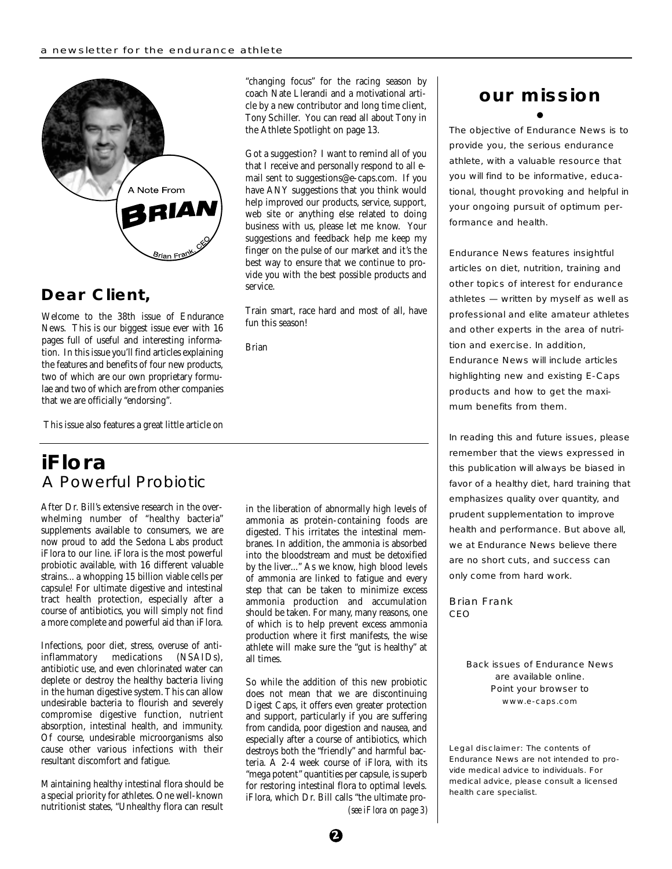

### **Dear Client,**

Welcome to the 38th issue of Endurance News. This is our biggest issue ever with 16 pages full of useful and interesting information. In this issue you'll find articles explaining the features and benefits of four new products, two of which are our own proprietary formulae and two of which are from other companies that we are officially "endorsing".

This issue also features a great little article on

### **iFlora** A Powerful Probiotic

After Dr. Bill's extensive research in the overwhelming number of "healthy bacteria" supplements available to consumers, we are now proud to add the Sedona Labs product iFlora to our line. iFlora is the most powerful probiotic available, with 16 different valuable strains... a whopping 15 billion viable cells per capsule! For ultimate digestive and intestinal tract health protection, especially after a course of antibiotics, you will simply not find a more complete and powerful aid than iFlora.

Infections, poor diet, stress, overuse of anti-<br>inflammatory medications (NSAIDs), inflammatory medications antibiotic use, and even chlorinated water can deplete or destroy the healthy bacteria living in the human digestive system. This can allow undesirable bacteria to flourish and severely compromise digestive function, nutrient absorption, intestinal health, and immunity. Of course, undesirable microorganisms also cause other various infections with their resultant discomfort and fatigue.

Maintaining healthy intestinal flora should be a special priority for athletes. One well-known nutritionist states, "Unhealthy flora can result "changing focus" for the racing season by coach Nate Llerandi and a motivational article by a new contributor and long time client, Tony Schiller. You can read all about Tony in the Athlete Spotlight on page 13.

Got a suggestion? I want to remind all of you that I receive and personally respond to all email sent to suggestions@e-caps.com. If you have ANY suggestions that you think would help improved our products, service, support, web site or anything else related to doing business with us, please let me know. Your suggestions and feedback help me keep my finger on the pulse of our market and it's the best way to ensure that we continue to provide you with the best possible products and service.

Train smart, race hard and most of all, have fun this season!

Brian

in the liberation of abnormally high levels of ammonia as protein-containing foods are digested. This irritates the intestinal membranes. In addition, the ammonia is absorbed into the bloodstream and must be detoxified by the liver..." As we know, high blood levels of ammonia are linked to fatigue and every step that can be taken to minimize excess ammonia production and accumulation should be taken. For many, many reasons, one of which is to help prevent excess ammonia production where it first manifests, the wise athlete will make sure the "gut is healthy" at all times.

So while the addition of this new probiotic does not mean that we are discontinuing Digest Caps, it offers even greater protection and support, particularly if you are suffering from candida, poor digestion and nausea, and especially after a course of antibiotics, which destroys both the "friendly" and harmful bacteria. A 2-4 week course of iFlora, with its "mega potent" quantities per capsule, is superb for restoring intestinal flora to optimal levels. iFlora, which Dr. Bill calls "the ultimate pro**our mission**

The objective of Endurance News is to provide you, the serious endurance athlete, with a valuable resource that you will find to be informative, educational, thought provoking and helpful in your ongoing pursuit of optimum performance and health.

Endurance News features insightful articles on diet, nutrition, training and other topics of interest for endurance athletes — written by myself as well as professional and elite amateur athletes and other experts in the area of nutrition and exercise. In addition, Endurance News will include articles highlighting new and existing E-Caps products and how to get the maximum benefits from them.

In reading this and future issues, please remember that the views expressed in this publication will always be biased in favor of a healthy diet, hard training that emphasizes quality over quantity, and prudent supplementation to improve health and performance. But above all, we at Endurance News believe there are no short cuts, and success can only come from hard work.

Brian Frank CEO

> Back issues of Endurance News are available online. Point your browser to www.e-caps.com

Legal disclaimer: The contents of Endurance News are not intended to provide medical advice to individuals. For medical advice, please consult a licensed health care specialist.

*(see iFlora on page 3)*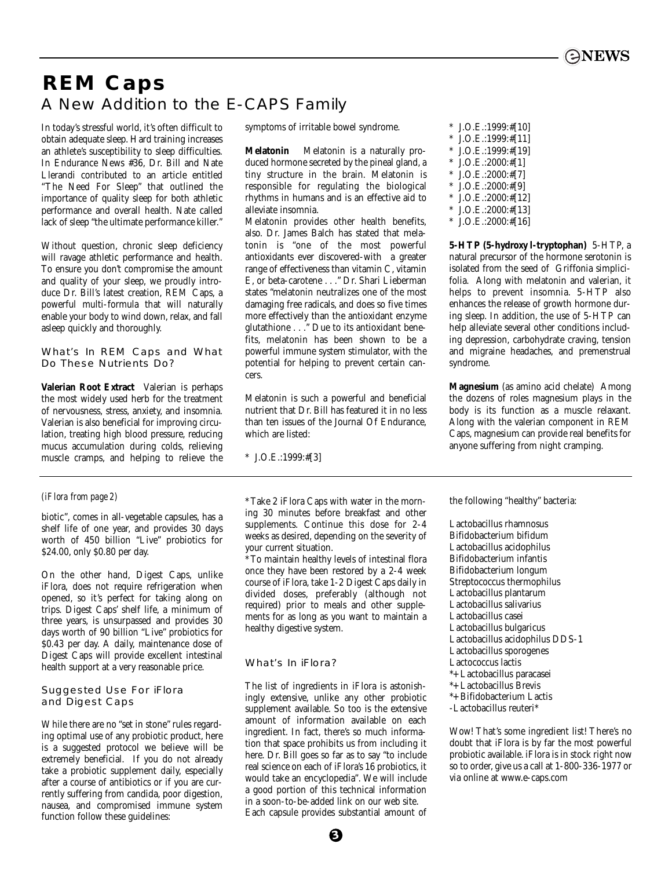## **REM Caps** A New Addition to the E-CAPS Family

In today's stressful world, it's often difficult to obtain adequate sleep. Hard training increases an athlete's susceptibility to sleep difficulties. In Endurance News #36, Dr. Bill and Nate Llerandi contributed to an article entitled "The Need For Sleep" that outlined the importance of quality sleep for both athletic performance and overall health. Nate called lack of sleep "the ultimate performance killer."

Without question, chronic sleep deficiency will ravage athletic performance and health. To ensure you don't compromise the amount and quality of your sleep, we proudly introduce Dr. Bill's latest creation, REM Caps, a powerful multi-formula that will naturally enable your body to wind down, relax, and fall asleep quickly and thoroughly.

#### What's In REM Caps and What Do These Nutrients Do?

**Valerian Root Extract** Valerian is perhaps the most widely used herb for the treatment of nervousness, stress, anxiety, and insomnia. Valerian is also beneficial for improving circulation, treating high blood pressure, reducing mucus accumulation during colds, relieving muscle cramps, and helping to relieve the

#### *(iFlora from page 2)*

biotic", comes in all-vegetable capsules, has a shelf life of one year, and provides 30 days worth of 450 billion "Live" probiotics for \$24.00, only \$0.80 per day.

On the other hand, Digest Caps, unlike iFlora, does not require refrigeration when opened, so it's perfect for taking along on trips. Digest Caps' shelf life, a minimum of three years, is unsurpassed and provides 30 days worth of 90 billion "Live" probiotics for \$0.43 per day. A daily, maintenance dose of Digest Caps will provide excellent intestinal health support at a very reasonable price.

#### Suggested Use For iFlora and Digest Caps

While there are no "set in stone" rules regarding optimal use of any probiotic product, here is a suggested protocol we believe will be extremely beneficial. If you do not already take a probiotic supplement daily, especially after a course of antibiotics or if you are currently suffering from candida, poor digestion, nausea, and compromised immune system function follow these guidelines:

symptoms of irritable bowel syndrome.

**Melatonin** Melatonin is a naturally produced hormone secreted by the pineal gland, a tiny structure in the brain. Melatonin is responsible for regulating the biological rhythms in humans and is an effective aid to alleviate insomnia.

Melatonin provides other health benefits, also. Dr. James Balch has stated that melatonin is "one of the most powerful antioxidants ever discovered-with a greater range of effectiveness than vitamin C, vitamin E, or beta-carotene . . ." Dr. Shari Lieberman states "melatonin neutralizes one of the most damaging free radicals, and does so five times more effectively than the antioxidant enzyme glutathione . . ." Due to its antioxidant benefits, melatonin has been shown to be a powerful immune system stimulator, with the potential for helping to prevent certain cancers.

Melatonin is such a powerful and beneficial nutrient that Dr. Bill has featured it in no less than ten issues of the Journal Of Endurance, which are listed:

\* J.O.E.:1999:#[3]

\* Take 2 iFlora Caps with water in the morning 30 minutes before breakfast and other supplements. Continue this dose for 2-4 weeks as desired, depending on the severity of your current situation.

\* To maintain healthy levels of intestinal flora once they have been restored by a 2-4 week course of iFlora, take 1-2 Digest Caps daily in divided doses, preferably (although not required) prior to meals and other supplements for as long as you want to maintain a healthy digestive system.

#### What's In iFlora?

The list of ingredients in iFlora is astonishingly extensive, unlike any other probiotic supplement available. So too is the extensive amount of information available on each ingredient. In fact, there's so much information that space prohibits us from including it here. Dr. Bill goes so far as to say "to include real science on each of iFlora's 16 probiotics, it would take an encyclopedia". We will include a good portion of this technical information in a soon-to-be-added link on our web site. Each capsule provides substantial amount of \* J.O.E.:1999:#[10] J.O.E.:1999:#[11] J.O.E.:1999:#[19] \* J.O.E.:2000:#[1]  $J.O.E.:2000:#[7]$ \* J.O.E.:2000:#[9] \* J.O.E.:2000:#[12] \* J.O.E.:2000:#[13]

\* J.O.E.:2000:#[16]

**5-HTP (5-hydroxy l-tryptophan)** 5-HTP, a natural precursor of the hormone serotonin is isolated from the seed of Griffonia simplicifolia. Along with melatonin and valerian, it helps to prevent insomnia. 5-HTP also enhances the release of growth hormone during sleep. In addition, the use of 5-HTP can help alleviate several other conditions including depression, carbohydrate craving, tension and migraine headaches, and premenstrual syndrome.

**Magnesium** (as amino acid chelate) Among the dozens of roles magnesium plays in the body is its function as a muscle relaxant. Along with the valerian component in REM Caps, magnesium can provide real benefits for anyone suffering from night cramping.

the following "healthy" bacteria:

Lactobacillus rhamnosus Bifidobacterium bifidum Lactobacillus acidophilus Bifidobacterium infantis Bifidobacterium longum Streptococcus thermophilus Lactobacillus plantarum Lactobacillus salivarius Lactobacillus casei Lactobacillus bulgaricus Lactobacillus acidophilus DDS-1 Lactobacillus sporogenes Lactococcus lactis \*+ Lactobacillus paracasei \*+ Lactobacillus Brevis \*+ Bifidobacterium Lactis

-Lactobacillus reuteri\*

Wow! That's some ingredient list! There's no doubt that iFlora is by far the most powerful probiotic available. iFlora is in stock right now so to order, give us a call at 1-800-336-1977 or via online at www.e-caps.com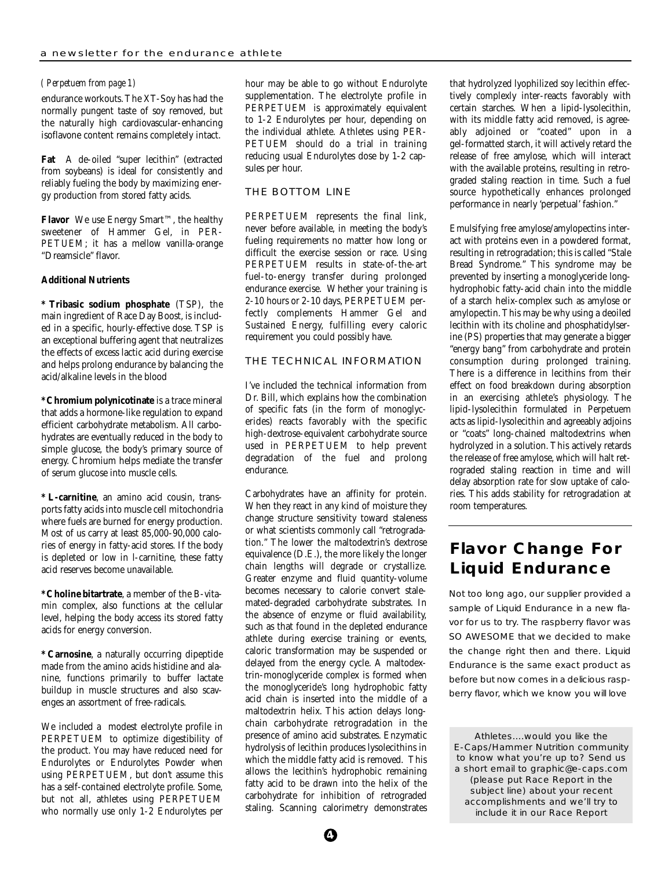#### *( Perpetuem from page 1)*

endurance workouts. The XT-Soy has had the normally pungent taste of soy removed, but the naturally high cardiovascular-enhancing isoflavone content remains completely intact.

**Fat** A de-oiled "super lecithin" (extracted from soybeans) is ideal for consistently and reliably fueling the body by maximizing energy production from stored fatty acids.

**Flavor** We use Energy Smart™, the healthy sweetener of Hammer Gel, in PER-PETUEM; it has a mellow vanilla-orange "Dreamsicle" flavor.

#### **Additional Nutrients**

**\* Tribasic sodium phosphate** (TSP), the main ingredient of Race Day Boost, is included in a specific, hourly-effective dose. TSP is an exceptional buffering agent that neutralizes the effects of excess lactic acid during exercise and helps prolong endurance by balancing the acid/alkaline levels in the blood

**\* Chromium polynicotinate** is a trace mineral that adds a hormone-like regulation to expand efficient carbohydrate metabolism. All carbohydrates are eventually reduced in the body to simple glucose, the body's primary source of energy. Chromium helps mediate the transfer of serum glucose into muscle cells.

**\* L-carnitine**, an amino acid cousin, transports fatty acids into muscle cell mitochondria where fuels are burned for energy production. Most of us carry at least 85,000-90,000 calories of energy in fatty-acid stores. If the body is depleted or low in l-carnitine, these fatty acid reserves become unavailable.

**\* Choline bitartrate**, a member of the B-vitamin complex, also functions at the cellular level, helping the body access its stored fatty acids for energy conversion.

**\* Carnosine**, a naturally occurring dipeptide made from the amino acids histidine and alanine, functions primarily to buffer lactate buildup in muscle structures and also scavenges an assortment of free-radicals.

We included a modest electrolyte profile in PERPETUEM to optimize digestibility of the product. You may have reduced need for Endurolytes or Endurolytes Powder when using PERPETUEM, but don't assume this has a self-contained electrolyte profile. Some, but not all, athletes using PERPETUEM who normally use only 1-2 Endurolytes per hour may be able to go without Endurolyte supplementation. The electrolyte profile in PERPETUEM is approximately equivalent to 1-2 Endurolytes per hour, depending on the individual athlete. Athletes using PER-PETUEM should do a trial in training reducing usual Endurolytes dose by 1-2 capsules per hour.

#### THE BOTTOM LINE

PERPETUEM represents the final link, never before available, in meeting the body's fueling requirements no matter how long or difficult the exercise session or race. Using PERPETUEM results in state-of-the-art fuel-to-energy transfer during prolonged endurance exercise. Whether your training is 2-10 hours or 2-10 days, PERPETUEM perfectly complements Hammer Gel and Sustained Energy, fulfilling every caloric requirement you could possibly have.

#### THE TECHNICAL INFORMATION

I've included the technical information from Dr. Bill, which explains how the combination of specific fats (in the form of monoglycerides) reacts favorably with the specific high-dextrose-equivalent carbohydrate source used in PERPETUEM to help prevent degradation of the fuel and prolong endurance.

Carbohydrates have an affinity for protein. When they react in any kind of moisture they change structure sensitivity toward staleness or what scientists commonly call "retrogradation." The lower the maltodextrin's dextrose equivalence (D.E.), the more likely the longer chain lengths will degrade or crystallize. Greater enzyme and fluid quantity-volume becomes necessary to calorie convert stalemated-degraded carbohydrate substrates. In the absence of enzyme or fluid availability, such as that found in the depleted endurance athlete during exercise training or events, caloric transformation may be suspended or delayed from the energy cycle. A maltodextrin-monoglyceride complex is formed when the monoglyceride's long hydrophobic fatty acid chain is inserted into the middle of a maltodextrin helix. This action delays longchain carbohydrate retrogradation in the presence of amino acid substrates. Enzymatic hydrolysis of lecithin produces lysolecithins in which the middle fatty acid is removed. This allows the lecithin's hydrophobic remaining fatty acid to be drawn into the helix of the carbohydrate for inhibition of retrograded staling. Scanning calorimetry demonstrates

that hydrolyzed lyophilized soy lecithin effectively complexly inter-reacts favorably with certain starches. When a lipid-lysolecithin, with its middle fatty acid removed, is agreeably adjoined or "coated" upon in a gel-formatted starch, it will actively retard the release of free amylose, which will interact with the available proteins, resulting in retrograded staling reaction in time. Such a fuel source hypothetically enhances prolonged performance in nearly 'perpetual' fashion."

Emulsifying free amylose/amylopectins interact with proteins even in a powdered format, resulting in retrogradation; this is called "Stale Bread Syndrome." This syndrome may be prevented by inserting a monoglyceride longhydrophobic fatty-acid chain into the middle of a starch helix-complex such as amylose or amylopectin. This may be why using a deoiled lecithin with its choline and phosphatidylserine (PS) properties that may generate a bigger "energy bang" from carbohydrate and protein consumption during prolonged training. There is a difference in lecithins from their effect on food breakdown during absorption in an exercising athlete's physiology. The lipid-lysolecithin formulated in Perpetuem acts as lipid-lysolecithin and agreeably adjoins or "coats" long-chained maltodextrins when hydrolyzed in a solution. This actively retards the release of free amylose, which will halt retrograded staling reaction in time and will delay absorption rate for slow uptake of calories. This adds stability for retrogradation at room temperatures.

### **Flavor Change For Liquid Endurance**

Not too long ago, our supplier provided a sample of Liquid Endurance in a new flavor for us to try. The raspberry flavor was SO AWESOME that we decided to make the change right then and there. Liquid Endurance is the same exact product as before but now comes in a delicious raspberry flavor, which we know you will love

Athletes....would you like the E-Caps/Hammer Nutrition community to know what you're up to? Send us a short email to graphic@e-caps.com *(please put Race Report in the subject line)* about your recent accomplishments and we'll try to include it in our Race Report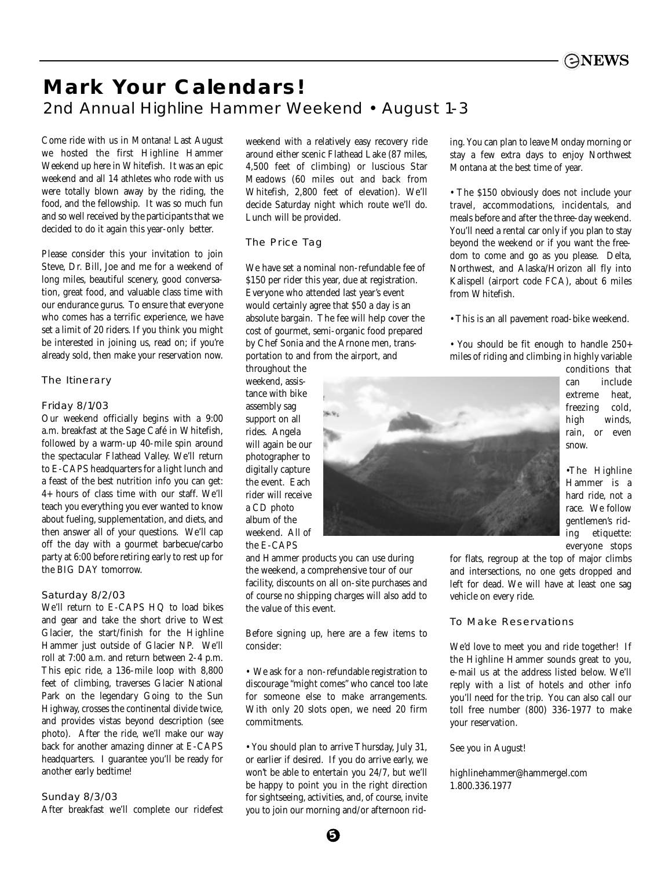

## **Mark Your Calendars!** 2nd Annual Highline Hammer Weekend • August 1-3

Come ride with us in Montana! Last August we hosted the first Highline Hammer Weekend up here in Whitefish. It was an epic weekend and all 14 athletes who rode with us were totally blown away by the riding, the food, and the fellowship. It was so much fun and so well received by the participants that we decided to do it again this year-only better.

Please consider this your invitation to join Steve, Dr. Bill, Joe and me for a weekend of long miles, beautiful scenery, good conversation, great food, and valuable class time with our endurance gurus. To ensure that everyone who comes has a terrific experience, we have set a limit of 20 riders. If you think you might be interested in joining us, read on; if you're already sold, then make your reservation now.

#### The Itinerary

#### Friday 8/1/03

Our weekend officially begins with a 9:00 a.m. breakfast at the Sage Café in Whitefish, followed by a warm-up 40-mile spin around the spectacular Flathead Valley. We'll return to E-CAPS headquarters for a light lunch and a feast of the best nutrition info you can get: 4+ hours of class time with our staff. We'll teach you everything you ever wanted to know about fueling, supplementation, and diets, and then answer all of your questions. We'll cap off the day with a gourmet barbecue/carbo party at 6:00 before retiring early to rest up for the BIG DAY tomorrow.

#### Saturday 8/2/03

We'll return to E-CAPS HQ to load bikes and gear and take the short drive to West Glacier, the start/finish for the Highline Hammer just outside of Glacier NP. We'll roll at 7:00 a.m. and return between 2-4 p.m. This epic ride, a 136-mile loop with 8,800 feet of climbing, traverses Glacier National Park on the legendary Going to the Sun Highway, crosses the continental divide twice, and provides vistas beyond description (see photo). After the ride, we'll make our way back for another amazing dinner at E-CAPS headquarters. I guarantee you'll be ready for another early bedtime!

#### Sunday 8/3/03

After breakfast we'll complete our ridefest

weekend with a relatively easy recovery ride around either scenic Flathead Lake (87 miles, 4,500 feet of climbing) or luscious Star Meadows (60 miles out and back from Whitefish, 2,800 feet of elevation). We'll decide Saturday night which route we'll do. Lunch will be provided.

#### The Price Tag

We have set a nominal non-refundable fee of \$150 per rider this year, due at registration. Everyone who attended last year's event would certainly agree that \$50 a day is an absolute bargain. The fee will help cover the cost of gourmet, semi-organic food prepared by Chef Sonia and the Arnone men, transportation to and from the airport, and

throughout the weekend, assistance with bike assembly sag support on all rides. Angela will again be our photographer to digitally capture the event. Each rider will receive a CD photo album of the weekend. All of the E-CAPS

and Hammer products you can use during the weekend, a comprehensive tour of our facility, discounts on all on-site purchases and of course no shipping charges will also add to the value of this event.

Before signing up, here are a few items to consider:

• We ask for a non-refundable registration to discourage "might comes" who cancel too late for someone else to make arrangements. With only 20 slots open, we need 20 firm commitments.

• You should plan to arrive Thursday, July 31, or earlier if desired. If you do arrive early, we won't be able to entertain you 24/7, but we'll be happy to point you in the right direction for sightseeing, activities, and, of course, invite you to join our morning and/or afternoon riding. You can plan to leave Monday morning or stay a few extra days to enjoy Northwest Montana at the best time of year.

• The \$150 obviously does not include your travel, accommodations, incidentals, and meals before and after the three-day weekend. You'll need a rental car only if you plan to stay beyond the weekend or if you want the freedom to come and go as you please. Delta, Northwest, and Alaska/Horizon all fly into Kalispell (airport code FCA), about 6 miles from Whitefish.

• This is an all pavement road-bike weekend.

• You should be fit enough to handle 250+ miles of riding and climbing in highly variable



conditions that can include extreme heat, freezing cold, high winds, rain, or even snow.

•The Highline Hammer is a hard ride, not a race. We follow gentlemen's riding etiquette: everyone stops

for flats, regroup at the top of major climbs and intersections, no one gets dropped and left for dead. We will have at least one sag vehicle on every ride.

#### To Make Reservations

We'd love to meet you and ride together! If the Highline Hammer sounds great to you, e-mail us at the address listed below. We'll reply with a list of hotels and other info you'll need for the trip. You can also call our toll free number (800) 336-1977 to make your reservation.

See you in August!

highlinehammer@hammergel.com 1.800.336.1977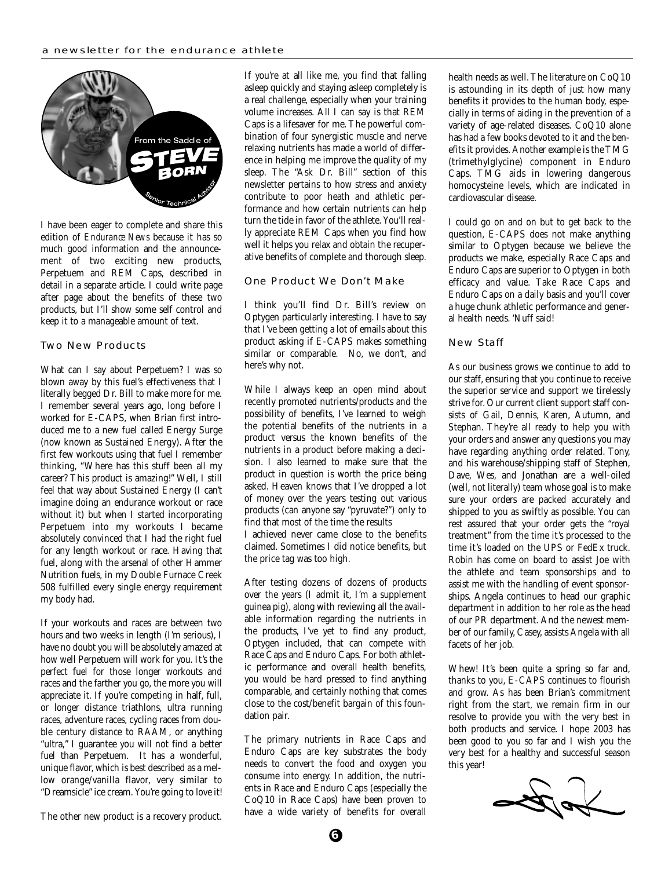

I have been eager to complete and share this edition of *Endurance News* because it has so much good information and the announcement of two exciting new products, Perpetuem and REM Caps, described in detail in a separate article. I could write page after page about the benefits of these two products, but I'll show some self control and keep it to a manageable amount of text.

#### Two New Products

What can I say about Perpetuem? I was so blown away by this fuel's effectiveness that I literally begged Dr. Bill to make more for me. I remember several years ago, long before I worked for E-CAPS, when Brian first introduced me to a new fuel called Energy Surge (now known as Sustained Energy). After the first few workouts using that fuel I remember thinking, "Where has this stuff been all my career? This product is amazing!" Well, I still feel that way about Sustained Energy (I can't imagine doing an endurance workout or race without it) but when I started incorporating Perpetuem into my workouts I became absolutely convinced that I had the right fuel for any length workout or race. Having that fuel, along with the arsenal of other Hammer Nutrition fuels, in my Double Furnace Creek 508 fulfilled every single energy requirement my body had.

If your workouts and races are between two hours and two weeks in length (I'm serious), I have no doubt you will be absolutely amazed at how well Perpetuem will work for you. It's the perfect fuel for those longer workouts and races and the farther you go, the more you will appreciate it. If you're competing in half, full, or longer distance triathlons, ultra running races, adventure races, cycling races from double century distance to RAAM, or anything "ultra," I guarantee you will not find a better fuel than Perpetuem. It has a wonderful, unique flavor, which is best described as a mellow orange/vanilla flavor, very similar to "Dreamsicle" ice cream. You're going to love it! If you're at all like me, you find that falling asleep quickly and staying asleep completely is a real challenge, especially when your training volume increases. All I can say is that REM Caps is a lifesaver for me. The powerful combination of four synergistic muscle and nerve relaxing nutrients has made a world of difference in helping me improve the quality of my sleep. The "Ask Dr. Bill" section of this newsletter pertains to how stress and anxiety contribute to poor heath and athletic performance and how certain nutrients can help turn the tide in favor of the athlete. You'll really appreciate REM Caps when you find how well it helps you relax and obtain the recuperative benefits of complete and thorough sleep.

#### One Product We Don't Make

I think you'll find Dr. Bill's review on Optygen particularly interesting. I have to say that I've been getting a lot of emails about this product asking if E-CAPS makes something similar or comparable. No, we don't, and here's why not.

While I always keep an open mind about recently promoted nutrients/products and the possibility of benefits, I've learned to weigh the potential benefits of the nutrients in a product versus the known benefits of the nutrients in a product before making a decision. I also learned to make sure that the product in question is worth the price being asked. Heaven knows that I've dropped a lot of money over the years testing out various products (can anyone say "pyruvate?") only to find that most of the time the results

I achieved never came close to the benefits claimed. Sometimes I did notice benefits, but the price tag was too high.

After testing dozens of dozens of products over the years (I admit it, I'm a supplement guinea pig), along with reviewing all the available information regarding the nutrients in the products, I've yet to find any product, Optygen included, that can compete with Race Caps and Enduro Caps. For both athletic performance and overall health benefits, you would be hard pressed to find anything comparable, and certainly nothing that comes close to the cost/benefit bargain of this foundation pair.

The primary nutrients in Race Caps and Enduro Caps are key substrates the body needs to convert the food and oxygen you consume into energy. In addition, the nutrients in Race and Enduro Caps (especially the CoQ10 in Race Caps) have been proven to have a wide variety of benefits for overall health needs as well. The literature on CoQ10 is astounding in its depth of just how many benefits it provides to the human body, especially in terms of aiding in the prevention of a variety of age-related diseases. CoQ10 alone has had a few books devoted to it and the benefits it provides. Another example is the TMG (trimethylglycine) component in Enduro Caps. TMG aids in lowering dangerous homocysteine levels, which are indicated in cardiovascular disease.

I could go on and on but to get back to the question, E-CAPS does not make anything similar to Optygen because we believe the products we make, especially Race Caps and Enduro Caps are superior to Optygen in both efficacy and value. Take Race Caps and Enduro Caps on a daily basis and you'll cover a huge chunk athletic performance and general health needs. 'Nuff said!

#### New Staff

As our business grows we continue to add to our staff, ensuring that you continue to receive the superior service and support we tirelessly strive for. Our current client support staff consists of Gail, Dennis, Karen, Autumn, and Stephan. They're all ready to help you with your orders and answer any questions you may have regarding anything order related. Tony, and his warehouse/shipping staff of Stephen, Dave, Wes, and Jonathan are a well-oiled (well, not literally) team whose goal is to make sure your orders are packed accurately and shipped to you as swiftly as possible. You can rest assured that your order gets the "royal treatment" from the time it's processed to the time it's loaded on the UPS or FedEx truck. Robin has come on board to assist Joe with the athlete and team sponsorships and to assist me with the handling of event sponsorships. Angela continues to head our graphic department in addition to her role as the head of our PR department. And the newest member of our family, Casey, assists Angela with all facets of her job.

Whew! It's been quite a spring so far and, thanks to you, E-CAPS continues to flourish and grow. As has been Brian's commitment right from the start, we remain firm in our resolve to provide you with the very best in both products and service. I hope 2003 has been good to you so far and I wish you the very best for a healthy and successful season this year!



The other new product is a recovery product.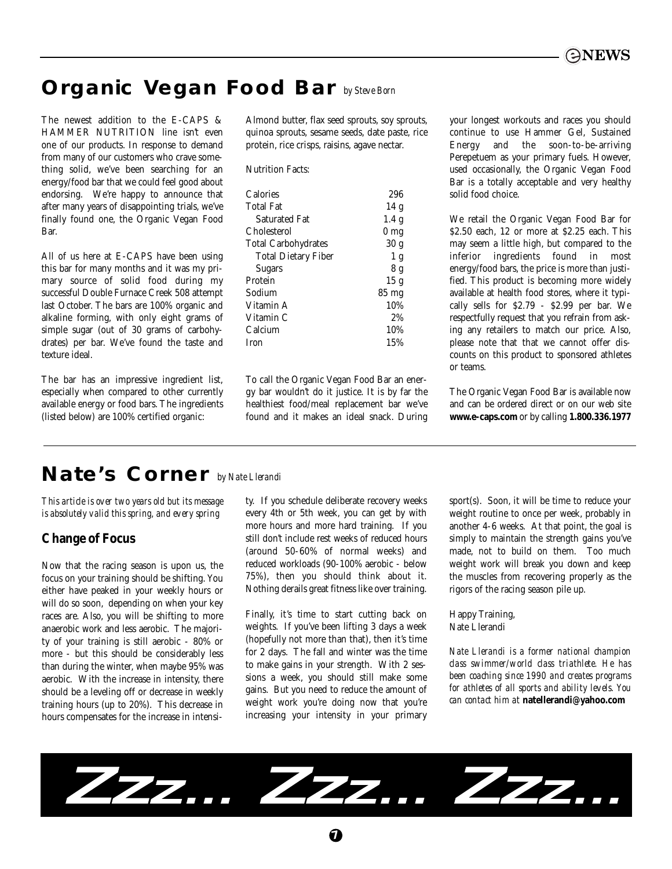## **Organic Vegan Food Bar** *by Steve Born*

The newest addition to the E-CAPS & HAMMER NUTRITION line isn't even one of our products. In response to demand from many of our customers who crave something solid, we've been searching for an energy/food bar that we could feel good about endorsing. We're happy to announce that after many years of disappointing trials, we've finally found one, the Organic Vegan Food Bar.

All of us here at E-CAPS have been using this bar for many months and it was my primary source of solid food during my successful Double Furnace Creek 508 attempt last October. The bars are 100% organic and alkaline forming, with only eight grams of simple sugar (out of 30 grams of carbohydrates) per bar. We've found the taste and texture ideal.

The bar has an impressive ingredient list, especially when compared to other currently available energy or food bars. The ingredients (listed below) are 100% certified organic:

Almond butter, flax seed sprouts, soy sprouts, quinoa sprouts, sesame seeds, date paste, rice protein, rice crisps, raisins, agave nectar.

Nutrition Facts:

| <b>Calories</b>            | 296              |
|----------------------------|------------------|
| <b>Total Fat</b>           | 14g              |
| <b>Saturated Fat</b>       | 1.4 <sub>g</sub> |
| Cholesterol                | 0 <sub>mg</sub>  |
| <b>Total Carbohydrates</b> | 30 <sub>g</sub>  |
| <b>Total Dietary Fiber</b> | 1 <sub>g</sub>   |
| <b>Sugars</b>              | 8 g              |
| Protein                    | 15 <sub>g</sub>  |
| Sodium                     | $85 \text{ mg}$  |
| Vitamin A                  | 10%              |
| Vitamin C                  | 2%               |
| Calcium                    | 10%              |
| Iron                       | 15%              |
|                            |                  |

To call the Organic Vegan Food Bar an energy bar wouldn't do it justice. It is by far the healthiest food/meal replacement bar we've found and it makes an ideal snack. During your longest workouts and races you should continue to use Hammer Gel, Sustained Energy and the soon-to-be-arriving Perepetuem as your primary fuels. However, used occasionally, the Organic Vegan Food Bar is a totally acceptable and very healthy solid food choice.

We retail the Organic Vegan Food Bar for \$2.50 each, 12 or more at \$2.25 each. This may seem a little high, but compared to the inferior ingredients found in most energy/food bars, the price is more than justified. This product is becoming more widely available at health food stores, where it typically sells for \$2.79 - \$2.99 per bar. We respectfully request that you refrain from asking any retailers to match our price. Also, please note that that we cannot offer discounts on this product to sponsored athletes or teams.

The Organic Vegan Food Bar is available now and can be ordered direct or on our web site **www.e-caps.com** or by calling **1.800.336.1977**

### **Nate's Corner** *by Nate Llerandi*

*This article is over two years old but its message is absolutely valid this spring, and every spring*

### **Change of Focus**

Now that the racing season is upon us, the focus on your training should be shifting. You either have peaked in your weekly hours or will do so soon, depending on when your key races are. Also, you will be shifting to more anaerobic work and less aerobic. The majority of your training is still aerobic - 80% or more - but this should be considerably less than during the winter, when maybe 95% was aerobic. With the increase in intensity, there should be a leveling off or decrease in weekly training hours (up to 20%). This decrease in hours compensates for the increase in intensi-

ty. If you schedule deliberate recovery weeks every 4th or 5th week, you can get by with more hours and more hard training. If you still don't include rest weeks of reduced hours (around 50-60% of normal weeks) and reduced workloads (90-100% aerobic - below 75%), then you should think about it. Nothing derails great fitness like over training.

Finally, it's time to start cutting back on weights. If you've been lifting 3 days a week (hopefully not more than that), then it's time for 2 days. The fall and winter was the time to make gains in your strength. With 2 sessions a week, you should still make some gains. But you need to reduce the amount of weight work you're doing now that you're increasing your intensity in your primary sport(s). Soon, it will be time to reduce your weight routine to once per week, probably in another 4-6 weeks. At that point, the goal is simply to maintain the strength gains you've made, not to build on them. Too much weight work will break you down and keep the muscles from recovering properly as the rigors of the racing season pile up.

Happy Training, Nate Llerandi

*Nate Llerandi is a former national champion class swimmer/world class triathlete. He has been coaching since 1990 and creates programs for athletes of all sports and ability levels. You can contact him at* **natellerandi@yahoo.com**

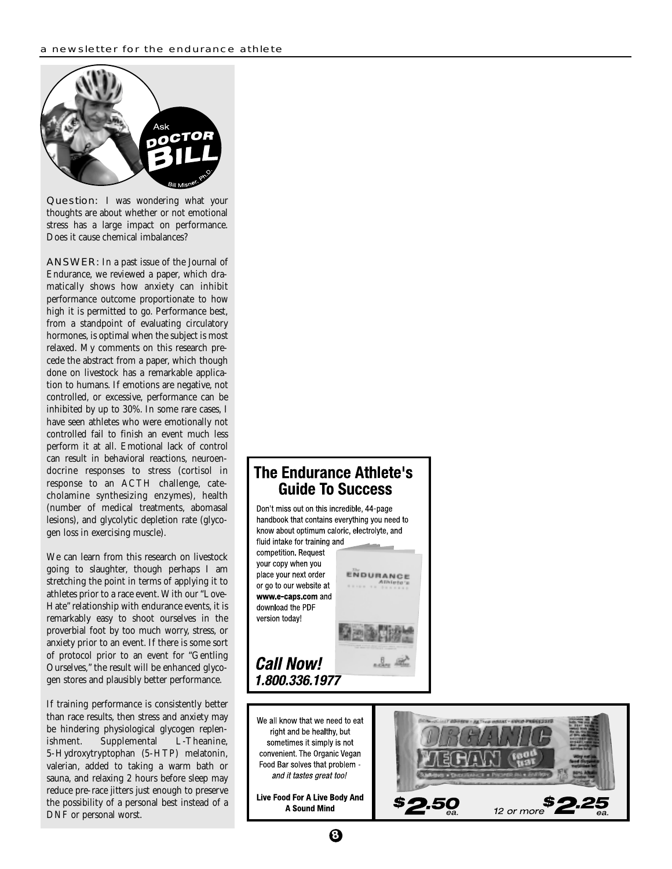

Question: I was wondering what your thoughts are about whether or not emotional stress has a large impact on performance. Does it cause chemical imbalances?

ANSWER: In a past issue of the Journal of Endurance, we reviewed a paper, which dramatically shows how anxiety can inhibit performance outcome proportionate to how high it is permitted to go. Performance best, from a standpoint of evaluating circulatory hormones, is optimal when the subject is most relaxed. My comments on this research precede the abstract from a paper, which though done on livestock has a remarkable application to humans. If emotions are negative, not controlled, or excessive, performance can be inhibited by up to 30%. In some rare cases, I have seen athletes who were emotionally not controlled fail to finish an event much less perform it at all. Emotional lack of control can result in behavioral reactions, neuroendocrine responses to stress (cortisol in response to an ACTH challenge, catecholamine synthesizing enzymes), health (number of medical treatments, abomasal lesions), and glycolytic depletion rate (glycogen loss in exercising muscle).

We can learn from this research on livestock going to slaughter, though perhaps I am stretching the point in terms of applying it to athletes prior to a race event. With our "Love-Hate" relationship with endurance events, it is remarkably easy to shoot ourselves in the proverbial foot by too much worry, stress, or anxiety prior to an event. If there is some sort of protocol prior to an event for "Gentling Ourselves," the result will be enhanced glycogen stores and plausibly better performance.

If training performance is consistently better than race results, then stress and anxiety may be hindering physiological glycogen replenishment. Supplemental L-Theanine, 5-Hydroxytryptophan (5-HTP) melatonin, valerian, added to taking a warm bath or sauna, and relaxing 2 hours before sleep may reduce pre-race jitters just enough to preserve the possibility of a personal best instead of a DNF or personal worst.

### The Endurance Athlete's **Guide To Success**



**8**

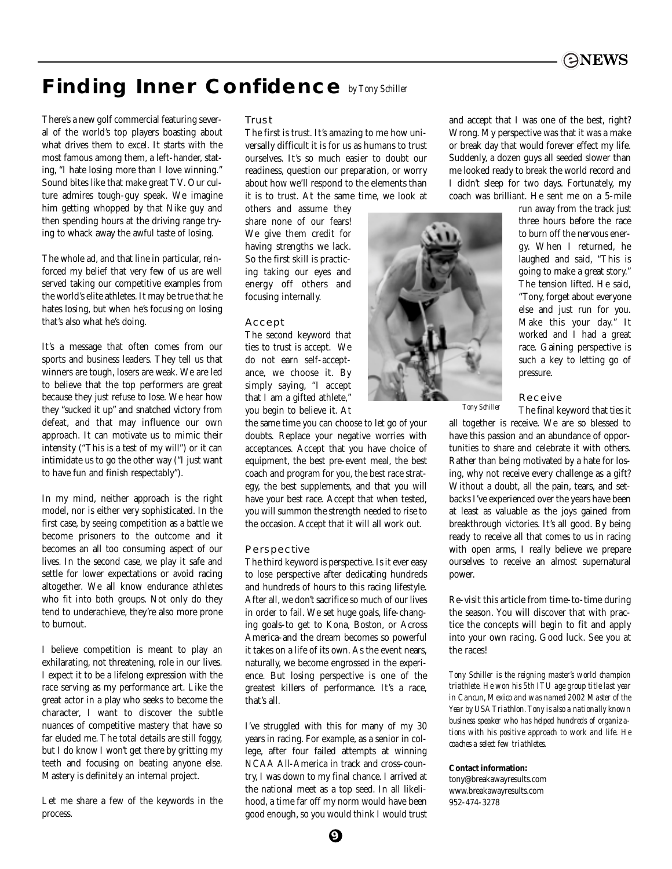

### **Finding Inner Confidence** *by Tony Schiller*

There's a new golf commercial featuring several of the world's top players boasting about what drives them to excel. It starts with the most famous among them, a left-hander, stating, "I hate losing more than I love winning." Sound bites like that make great TV. Our culture admires tough-guy speak. We imagine him getting whopped by that Nike guy and then spending hours at the driving range trying to whack away the awful taste of losing.

The whole ad, and that line in particular, reinforced my belief that very few of us are well served taking our competitive examples from the world's elite athletes. It may be true that he hates losing, but when he's focusing on losing that's also what he's doing.

It's a message that often comes from our sports and business leaders. They tell us that winners are tough, losers are weak. We are led to believe that the top performers are great because they just refuse to lose. We hear how they "sucked it up" and snatched victory from defeat, and that may influence our own approach. It can motivate us to mimic their intensity ("This is a test of my will") or it can intimidate us to go the other way ("I just want to have fun and finish respectably").

In my mind, neither approach is the right model, nor is either very sophisticated. In the first case, by seeing competition as a battle we become prisoners to the outcome and it becomes an all too consuming aspect of our lives. In the second case, we play it safe and settle for lower expectations or avoid racing altogether. We all know endurance athletes who fit into both groups. Not only do they tend to underachieve, they're also more prone to burnout.

I believe competition is meant to play an exhilarating, not threatening, role in our lives. I expect it to be a lifelong expression with the race serving as my performance art. Like the great actor in a play who seeks to become the character, I want to discover the subtle nuances of competitive mastery that have so far eluded me. The total details are still foggy, but I do know I won't get there by gritting my teeth and focusing on beating anyone else. Mastery is definitely an internal project.

Let me share a few of the keywords in the process.

#### Trust

The first is trust. It's amazing to me how universally difficult it is for us as humans to trust ourselves. It's so much easier to doubt our readiness, question our preparation, or worry about how we'll respond to the elements than it is to trust. At the same time, we look at

others and assume they share none of our fears! We give them credit for having strengths we lack. So the first skill is practicing taking our eyes and energy off others and focusing internally.

#### Accept

The second keyword that ties to trust is accept. We do not earn self-acceptance, we choose it. By simply saying, "I accept that I am a gifted athlete," you begin to believe it. At

the same time you can choose to let go of your doubts. Replace your negative worries with acceptances. Accept that you have choice of equipment, the best pre-event meal, the best coach and program for you, the best race strategy, the best supplements, and that you will have your best race. Accept that when tested, you will summon the strength needed to rise to the occasion. Accept that it will all work out.

#### Perspective

The third keyword is perspective. Is it ever easy to lose perspective after dedicating hundreds and hundreds of hours to this racing lifestyle. After all, we don't sacrifice so much of our lives in order to fail. We set huge goals, life-changing goals-to get to Kona, Boston, or Across America-and the dream becomes so powerful it takes on a life of its own. As the event nears, naturally, we become engrossed in the experience. But losing perspective is one of the greatest killers of performance. It's a race, that's all.

I've struggled with this for many of my 30 years in racing. For example, as a senior in college, after four failed attempts at winning NCAA All-America in track and cross-country, I was down to my final chance. I arrived at the national meet as a top seed. In all likelihood, a time far off my norm would have been good enough, so you would think I would trust



run away from the track just three hours before the race to burn off the nervous energy. When I returned, he laughed and said, "This is going to make a great story." The tension lifted. He said, "Tony, forget about everyone else and just run for you. Make this your day." It worked and I had a great race. Gaining perspective is such a key to letting go of pressure.

#### Receive

The final keyword that ties it *Tony Schiller*

all together is receive. We are so blessed to have this passion and an abundance of opportunities to share and celebrate it with others. Rather than being motivated by a hate for losing, why not receive every challenge as a gift? Without a doubt, all the pain, tears, and setbacks I've experienced over the years have been at least as valuable as the joys gained from breakthrough victories. It's all good. By being ready to receive all that comes to us in racing with open arms, I really believe we prepare ourselves to receive an almost supernatural power.

Re-visit this article from time-to-time during the season. You will discover that with practice the concepts will begin to fit and apply into your own racing. Good luck. See you at the races!

*Tony Schiller is the reigning master's world champion triathlete. He won his 5th ITU age group title last year in Cancun, Mexico and was named 2002 Master of the Year by USA Triathlon. Tony is also a nationally known business speaker who has helped hundreds of organizations with his positive approach to work and life. He coaches a select few triathletes.*

#### **Contact information:**

tony@breakawayresults.com www.breakawayresults.com 952-474-3278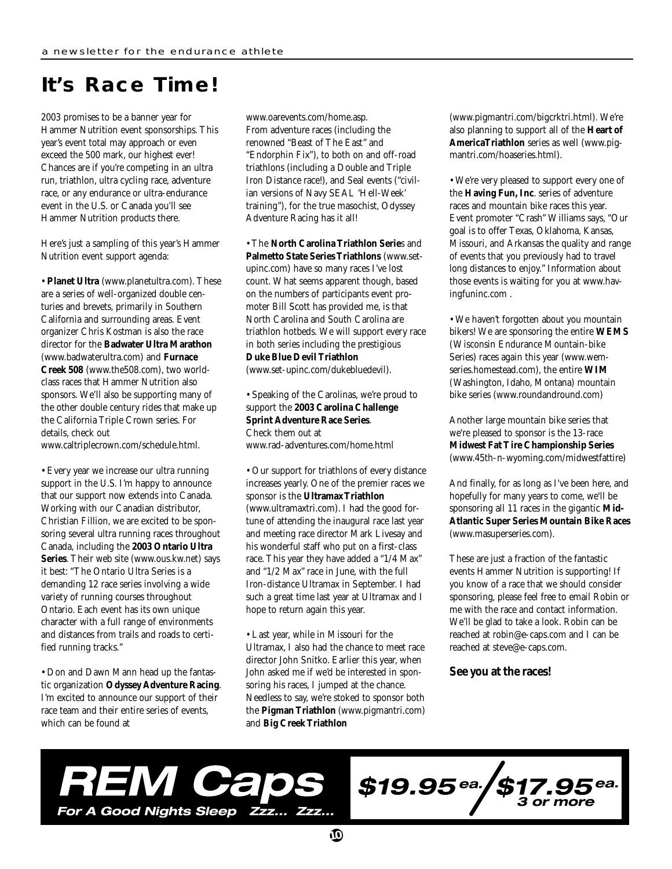## **It's Race Time!**

2003 promises to be a banner year for Hammer Nutrition event sponsorships. This year's event total may approach or even exceed the 500 mark, our highest ever! Chances are if you're competing in an ultra run, triathlon, ultra cycling race, adventure race, or any endurance or ultra-endurance event in the U.S. or Canada you'll see Hammer Nutrition products there.

Here's just a sampling of this year's Hammer Nutrition event support agenda:

• **Planet Ultra** (www.planetultra.com). These are a series of well-organized double centuries and brevets, primarily in Southern California and surrounding areas. Event organizer Chris Kostman is also the race director for the **Badwater Ultra Marathon** (www.badwaterultra.com) and **Furnace Creek 508** (www.the508.com), two worldclass races that Hammer Nutrition also sponsors. We'll also be supporting many of the other double century rides that make up the California Triple Crown series. For details, check out www.caltriplecrown.com/schedule.html.

• Every year we increase our ultra running support in the U.S. I'm happy to announce that our support now extends into Canada. Working with our Canadian distributor, Christian Fillion, we are excited to be sponsoring several ultra running races throughout Canada, including the **2003 Ontario Ultra Series**. Their web site (www.ous.kw.net) says it best: "The Ontario Ultra Series is a demanding 12 race series involving a wide variety of running courses throughout Ontario. Each event has its own unique character with a full range of environments and distances from trails and roads to certified running tracks."

• Don and Dawn Mann head up the fantastic organization **Odyssey Adventure Racing**. I'm excited to announce our support of their race team and their entire series of events, which can be found at

www.oarevents.com/home.asp. From adventure races (including the renowned "Beast of The East" and "Endorphin Fix"), to both on and off-road triathlons (including a Double and Triple Iron Distance race!), and Seal events ("civilian versions of Navy SEAL 'Hell-Week' training"), for the true masochist, Odyssey Adventure Racing has it all!

• The **North Carolina Triathlon Serie**s and **Palmetto State Series Triathlons** (www.setupinc.com) have so many races I've lost count. What seems apparent though, based on the numbers of participants event promoter Bill Scott has provided me, is that North Carolina and South Carolina are triathlon hotbeds. We will support every race in both series including the prestigious **Duke Blue Devil Triathlon**

(www.set-upinc.com/dukebluedevil).

• Speaking of the Carolinas, we're proud to support the **2003 Carolina Challenge Sprint Adventure Race Series**. Check them out at www.rad-adventures.com/home.html

• Our support for triathlons of every distance increases yearly. One of the premier races we sponsor is the **Ultramax Triathlon** (www.ultramaxtri.com). I had the good fortune of attending the inaugural race last year and meeting race director Mark Livesay and his wonderful staff who put on a first-class race. This year they have added a "1/4 Max" and "1/2 Max" race in June, with the full Iron-distance Ultramax in September. I had such a great time last year at Ultramax and I hope to return again this year.

• Last year, while in Missouri for the Ultramax, I also had the chance to meet race director John Snitko. Earlier this year, when John asked me if we'd be interested in sponsoring his races, I jumped at the chance. Needless to say, we're stoked to sponsor both the **Pigman Triathlon** (www.pigmantri.com) and **Big Creek Triathlon**

(www.pigmantri.com/bigcrktri.html). We're also planning to support all of the **Heart of AmericaTriathlon** series as well (www.pigmantri.com/hoaseries.html).

• We're very pleased to support every one of the **Having Fun, Inc**. series of adventure races and mountain bike races this year. Event promoter "Crash" Williams says, "Our goal is to offer Texas, Oklahoma, Kansas, Missouri, and Arkansas the quality and range of events that you previously had to travel long distances to enjoy." Information about those events is waiting for you at www.havingfuninc.com .

• We haven't forgotten about you mountain bikers! We are sponsoring the entire **WEMS** (Wisconsin Endurance Mountain-bike Series) races again this year (www.wemseries.homestead.com), the entire **WIM** (Washington, Idaho, Montana) mountain bike series (www.roundandround.com)

Another large mountain bike series that we're pleased to sponsor is the 13-race **Midwest Fat Tire Championship Series** (www.45th-n-wyoming.com/midwestfattire)

And finally, for as long as I've been here, and hopefully for many years to come, we'll be sponsoring all 11 races in the gigantic **Mid-Atlantic Super Series Mountain Bike Races**  (www.masuperseries.com).

These are just a fraction of the fantastic events Hammer Nutrition is supporting! If you know of a race that we should consider sponsoring, please feel free to email Robin or me with the race and contact information. We'll be glad to take a look. Robin can be reached at robin@e-caps.com and I can be reached at steve@e-caps.com.

#### **See you at the races!**



 $$19.95$ ea.  $/$ \$17.95  $5$ ea.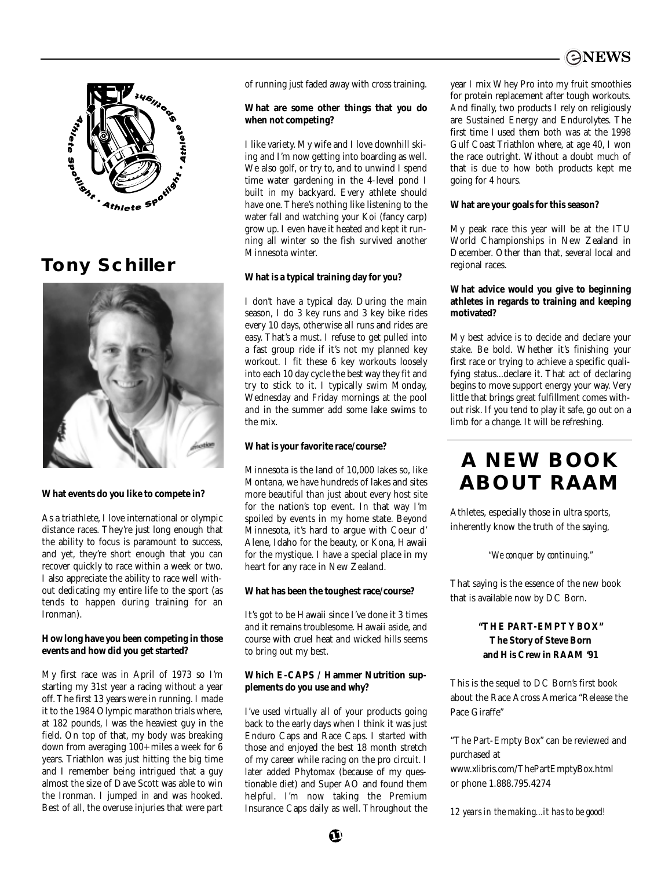



## **Tony Schiller**



#### **What events do you like to compete in?**

As a triathlete, I love international or olympic distance races. They're just long enough that the ability to focus is paramount to success, and yet, they're short enough that you can recover quickly to race within a week or two. I also appreciate the ability to race well without dedicating my entire life to the sport (as tends to happen during training for an Ironman).

#### **How long have you been competing in those events and how did you get started?**

My first race was in April of 1973 so I'm starting my 31st year a racing without a year off. The first 13 years were in running. I made it to the 1984 Olympic marathon trials where, at 182 pounds, I was the heaviest guy in the field. On top of that, my body was breaking down from averaging 100+ miles a week for 6 years. Triathlon was just hitting the big time and I remember being intrigued that a guy almost the size of Dave Scott was able to win the Ironman. I jumped in and was hooked. Best of all, the overuse injuries that were part of running just faded away with cross training.

#### **What are some other things that you do when not competing?**

I like variety. My wife and I love downhill skiing and I'm now getting into boarding as well. We also golf, or try to, and to unwind I spend time water gardening in the 4-level pond I built in my backyard. Every athlete should have one. There's nothing like listening to the water fall and watching your Koi (fancy carp) grow up. I even have it heated and kept it running all winter so the fish survived another Minnesota winter.

#### **What is a typical training day for you?**

I don't have a typical day. During the main season, I do 3 key runs and 3 key bike rides every 10 days, otherwise all runs and rides are easy. That's a must. I refuse to get pulled into a fast group ride if it's not my planned key workout. I fit these 6 key workouts loosely into each 10 day cycle the best way they fit and try to stick to it. I typically swim Monday, Wednesday and Friday mornings at the pool and in the summer add some lake swims to the mix.

#### **What is your favorite race/course?**

Minnesota is the land of 10,000 lakes so, like Montana, we have hundreds of lakes and sites more beautiful than just about every host site for the nation's top event. In that way I'm spoiled by events in my home state. Beyond Minnesota, it's hard to argue with Coeur d' Alene, Idaho for the beauty, or Kona, Hawaii for the mystique. I have a special place in my heart for any race in New Zealand.

#### **What has been the toughest race/course?**

It's got to be Hawaii since I've done it 3 times and it remains troublesome. Hawaii aside, and course with cruel heat and wicked hills seems to bring out my best.

#### **Which E-CAPS / Hammer Nutrition supplements do you use and why?**

I've used virtually all of your products going back to the early days when I think it was just Enduro Caps and Race Caps. I started with those and enjoyed the best 18 month stretch of my career while racing on the pro circuit. I later added Phytomax (because of my questionable diet) and Super AO and found them helpful. I'm now taking the Premium Insurance Caps daily as well. Throughout the year I mix Whey Pro into my fruit smoothies for protein replacement after tough workouts. And finally, two products I rely on religiously are Sustained Energy and Endurolytes. The first time I used them both was at the 1998 Gulf Coast Triathlon where, at age 40, I won the race outright. Without a doubt much of that is due to how both products kept me going for 4 hours.

#### **What are your goals for this season?**

My peak race this year will be at the ITU World Championships in New Zealand in December. Other than that, several local and regional races.

#### **What advice would you give to beginning athletes in regards to training and keeping motivated?**

My best advice is to decide and declare your stake. Be bold. Whether it's finishing your first race or trying to achieve a specific qualifying status...declare it. That act of declaring begins to move support energy your way. Very little that brings great fulfillment comes without risk. If you tend to play it safe, go out on a limb for a change. It will be refreshing.

## **A NEW BOOK ABOUT RAAM**

Athletes, especially those in ultra sports, inherently know the truth of the saying,

*"We conquer by continuing."*

That saying is the essence of the new book that is available now by DC Born.

#### **"THE PART-EMPTY BOX" The Story of Steve Born and His Crew in RAAM '91**

This is the sequel to DC Born's first book about the Race Across America "Release the Pace Giraffe"

"The Part-Empty Box" can be reviewed and purchased at www.xlibris.com/ThePartEmptyBox.html or phone 1.888.795.4274

*12 years in the making...it has to be good!*

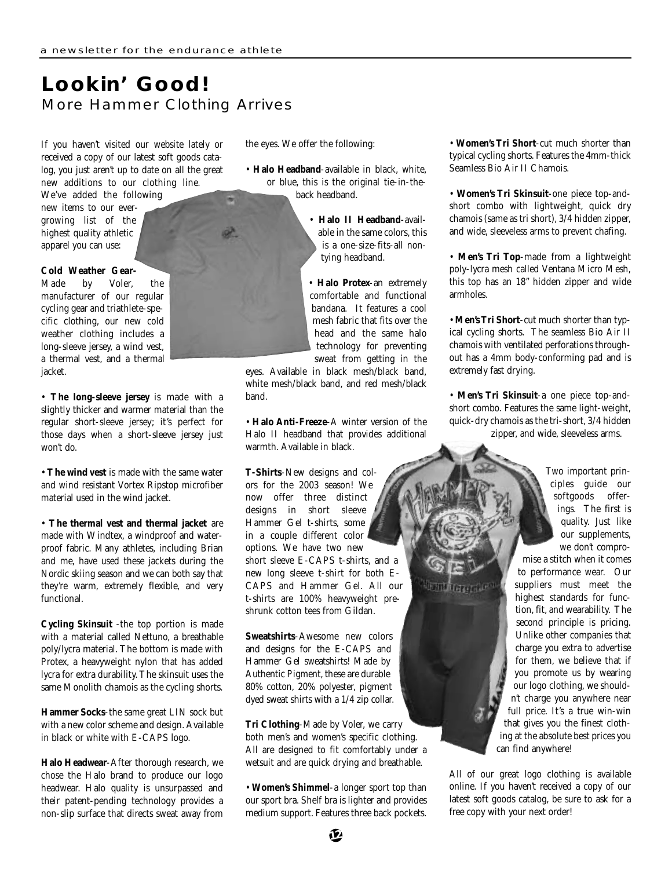### **Lookin' Good!** More Hammer Clothing Arrives

If you haven't visited our website lately or received a copy of our latest soft goods catalog, you just aren't up to date on all the great new additions to our clothing line. We've added the following

new items to our evergrowing list of the highest quality athletic apparel you can use:

#### **Cold Weather Gear-**

Made by Voler, the manufacturer of our regular cycling gear and triathlete-specific clothing, our new cold weather clothing includes a long-sleeve jersey, a wind vest, a thermal vest, and a thermal jacket.

• **The long-sleeve jersey** is made with a slightly thicker and warmer material than the regular short-sleeve jersey; it's perfect for those days when a short-sleeve jersey just won't do.

• **The wind vest** is made with the same water and wind resistant Vortex Ripstop microfiber material used in the wind jacket.

• **The thermal vest and thermal jacket** are made with Windtex, a windproof and waterproof fabric. Many athletes, including Brian and me, have used these jackets during the Nordic skiing season and we can both say that they're warm, extremely flexible, and very functional.

**Cycling Skinsuit** -the top portion is made with a material called Nettuno, a breathable poly/lycra material. The bottom is made with Protex, a heavyweight nylon that has added lycra for extra durability. The skinsuit uses the same Monolith chamois as the cycling shorts.

**Hammer Socks**-the same great LIN sock but with a new color scheme and design. Available in black or white with E-CAPS logo.

**Halo Headwear**-After thorough research, we chose the Halo brand to produce our logo headwear. Halo quality is unsurpassed and their patent-pending technology provides a non-slip surface that directs sweat away from the eyes. We offer the following:

- **Halo Headband**-available in black, white, or blue, this is the original tie-in-theback headband.
	- **Halo II Headband**-available in the same colors, this is a one-size-fits-all nontying headband.
	- **Halo Protex**-an extremely comfortable and functional bandana. It features a cool mesh fabric that fits over the head and the same halo technology for preventing sweat from getting in the

eyes. Available in black mesh/black band, white mesh/black band, and red mesh/black band.

• **Halo Anti-Freeze**-A winter version of the Halo II headband that provides additional warmth. Available in black.

**T-Shirts**-New designs and colors for the 2003 season! We now offer three distinct designs in short sleeve Hammer Gel t-shirts, some in a couple different color options. We have two new short sleeve E-CAPS t-shirts, and a new long sleeve t-shirt for both E-CAPS and Hammer Gel. All our t-shirts are 100% heavyweight preshrunk cotton tees from Gildan.

**Sweatshirts**-Awesome new colors and designs for the E-CAPS and Hammer Gel sweatshirts! Made by Authentic Pigment, these are durable 80% cotton, 20% polyester, pigment dyed sweat shirts with a 1/4 zip collar.

**Tri Clothing**-Made by Voler, we carry both men's and women's specific clothing. All are designed to fit comfortably under a wetsuit and are quick drying and breathable.

• **Women's Shimmel**-a longer sport top than our sport bra. Shelf bra is lighter and provides medium support. Features three back pockets. • **Women's Tri Short**-cut much shorter than typical cycling shorts. Features the 4mm-thick Seamless Bio Air II Chamois.

• **Women's Tri Skinsuit**-one piece top-andshort combo with lightweight, quick dry chamois (same as tri short), 3/4 hidden zipper, and wide, sleeveless arms to prevent chafing.

• **Men's Tri Top**-made from a lightweight poly-lycra mesh called Ventana Micro Mesh, this top has an 18" hidden zipper and wide armholes.

• **Men's Tri Short**-cut much shorter than typical cycling shorts. The seamless Bio Air II chamois with ventilated perforations throughout has a 4mm body-conforming pad and is extremely fast drying.

• **Men's Tri Skinsuit**-a one piece top-andshort combo. Features the same light-weight, quick-dry chamois as the tri-short, 3/4 hidden zipper, and wide, sleeveless arms.

> Two important principles guide our softgoods offerings. The first is quality. Just like our supplements, we don't compro-

mise a stitch when it comes to performance wear. Our suppliers must meet the highest standards for function, fit, and wearability. The second principle is pricing. Unlike other companies that charge you extra to advertise for them, we believe that if you promote us by wearing our logo clothing, we shouldn't charge you anywhere near full price. It's a true win-win that gives you the finest clothing at the absolute best prices you can find anywhere!

All of our great logo clothing is available online. If you haven't received a copy of our latest soft goods catalog, be sure to ask for a free copy with your next order!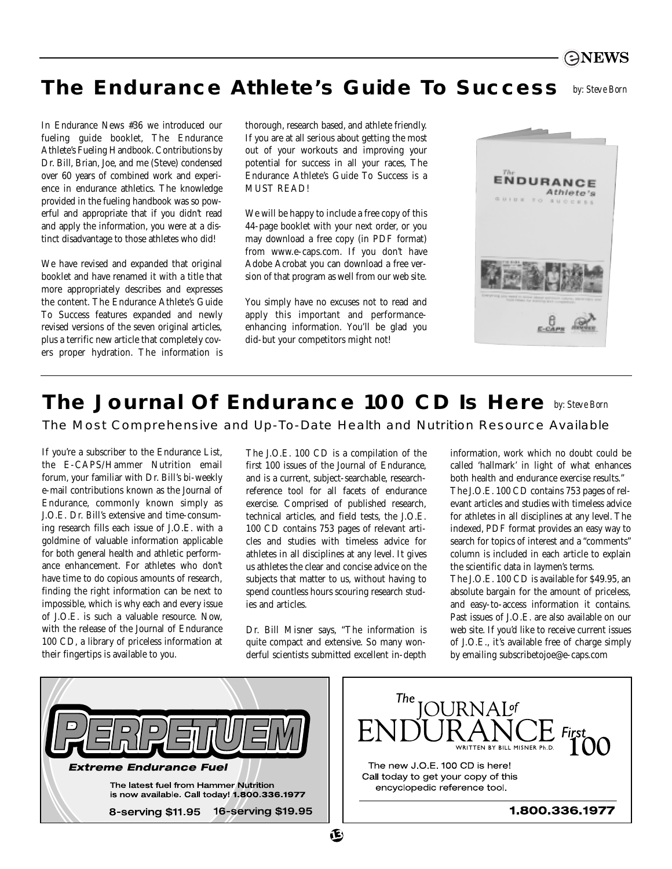

## **The Endurance Athlete's Guide To Success** *by: Steve Born*

In Endurance News #36 we introduced our fueling guide booklet, The Endurance Athlete's Fueling Handbook. Contributions by Dr. Bill, Brian, Joe, and me (Steve) condensed over 60 years of combined work and experience in endurance athletics. The knowledge provided in the fueling handbook was so powerful and appropriate that if you didn't read and apply the information, you were at a distinct disadvantage to those athletes who did!

We have revised and expanded that original booklet and have renamed it with a title that more appropriately describes and expresses the content. The Endurance Athlete's Guide To Success features expanded and newly revised versions of the seven original articles, plus a terrific new article that completely covers proper hydration. The information is

thorough, research based, and athlete friendly. If you are at all serious about getting the most out of your workouts and improving your potential for success in all your races, The Endurance Athlete's Guide To Success is a MUST READ!

We will be happy to include a free copy of this 44-page booklet with your next order, or you may download a free copy (in PDF format) from www.e-caps.com. If you don't have Adobe Acrobat you can download a free version of that program as well from our web site.

You simply have no excuses not to read and apply this important and performanceenhancing information. You'll be glad you did-but your competitors might not!



## **The Journal Of Endurance 100 CD Is Here** *by: Steve Born*

The Most Comprehensive and Up-To-Date Health and Nutrition Resource Available

If you're a subscriber to the Endurance List, the E-CAPS/Hammer Nutrition email forum, your familiar with Dr. Bill's bi-weekly e-mail contributions known as the Journal of Endurance, commonly known simply as J.O.E. Dr. Bill's extensive and time-consuming research fills each issue of J.O.E. with a goldmine of valuable information applicable for both general health and athletic performance enhancement. For athletes who don't have time to do copious amounts of research, finding the right information can be next to impossible, which is why each and every issue of J.O.E. is such a valuable resource. Now, with the release of the Journal of Endurance 100 CD, a library of priceless information at their fingertips is available to you.

The J.O.E. 100 CD is a compilation of the first 100 issues of the Journal of Endurance, and is a current, subject-searchable, researchreference tool for all facets of endurance exercise. Comprised of published research, technical articles, and field tests, the J.O.E. 100 CD contains 753 pages of relevant articles and studies with timeless advice for athletes in all disciplines at any level. It gives us athletes the clear and concise advice on the subjects that matter to us, without having to spend countless hours scouring research studies and articles.

Dr. Bill Misner says, "The information is quite compact and extensive. So many wonderful scientists submitted excellent in-depth information, work which no doubt could be called 'hallmark' in light of what enhances both health and endurance exercise results." The J.O.E. 100 CD contains 753 pages of relevant articles and studies with timeless advice for athletes in all disciplines at any level. The indexed, PDF format provides an easy way to search for topics of interest and a "comments" column is included in each article to explain the scientific data in laymen's terms.

The J.O.E. 100 CD is available for \$49.95, an absolute bargain for the amount of priceless, and easy-to-access information it contains. Past issues of J.O.E. are also available on our web site. If you'd like to receive current issues of J.O.E., it's available free of charge simply by emailing subscribetojoe@e-caps.com